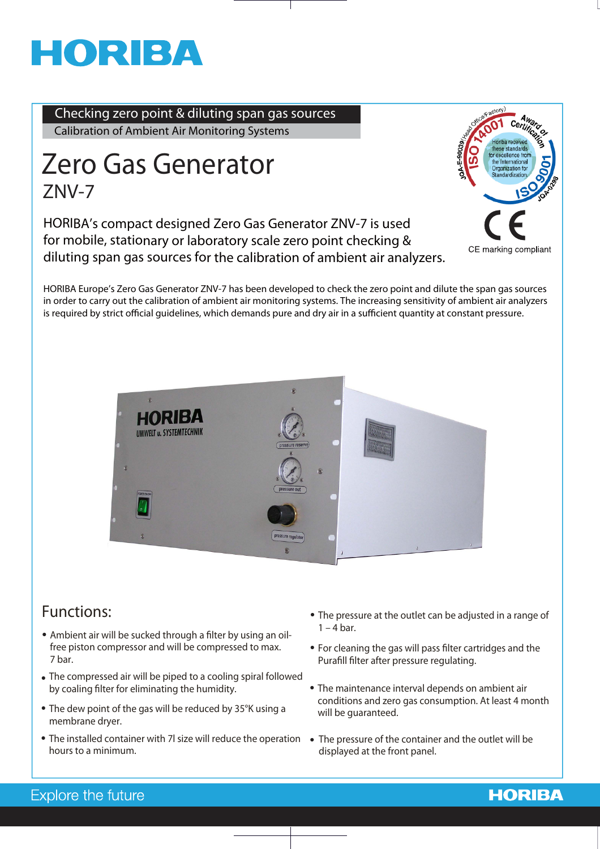# HORIBA

**Checking zero point & diluting span gas sources** Calibration of Ambient Air Monitoring Systems

## **ZNV-7 Zero Gas Generator**

**HORIBA's compact designed Zero Gas Generator ZNV-7 is used for mobile, stationary or laboratory scale zero point checking & diluting span gas sources for the calibration of ambient air analyzers.**



HORIBA Europe's Zero Gas Generator ZNV-7 has been developed to check the zero point and dilute the span gas sources in order to carry out the calibration of ambient air monitoring systems. The increasing sensitivity of ambient air analyzers is required by strict official guidelines, which demands pure and dry air in a sufficient quantity at constant pressure.



## **Functions:**

- Ambient air will be sucked through a filter by using an oil**free piston compressor and will be compressed to max. 7 bar.**
- **The compressed air will be piped to a cooling spiral followed**  by coaling filter for eliminating the humidity.
- The dew point of the gas will be reduced by 35°K using a will be guaranteed.<br>
membrane drver. **membrane dryer.**
	- The installed container with 7l size will reduce the operation The pressure of the container and the outlet will be **hours to a minimum.**
- **The pressure at the outlet can be adjusted in a range of 1 – 4 bar.**
- **For cleaning the gas will pass !lter cartridges and the**  Purafill filter after pressure regulating.
- **The maintenance interval depends on ambient air conditions and zero gas consumption. At least 4 month**
- **displayed at the front panel.**

### Explore the future

## **HORIBA**